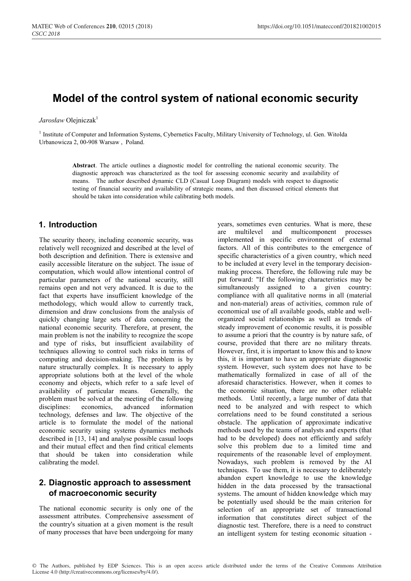# **Model of the control system of national economic security**

#### *Jarosław* Olejniczak<sup>1</sup>

<sup>1</sup> Institute of Computer and Information Systems, Cybernetics Faculty, Military University of Technology, ul. Gen. Witolda Urbanowicza 2, 00-908 Warsaw , Poland.

> **Abstract**. The article outlines a diagnostic model for controlling the national economic security. The diagnostic approach was characterized as the tool for assessing economic security and availability of means. The author described dynamic CLD (Casual Loop Diagram) models with respect to diagnostic testing of financial security and availability of strategic means, and then discussed critical elements that should be taken into consideration while calibrating both models.

#### **1. Introduction**

The security theory, including economic security, was relatively well recognized and described at the level of both description and definition. There is extensive and easily accessible literature on the subject. The issue of computation, which would allow intentional control of particular parameters of the national security, still remains open and not very advanced. It is due to the fact that experts have insufficient knowledge of the methodology, which would allow to currently track, dimension and draw conclusions from the analysis of quickly changing large sets of data concerning the national economic security. Therefore, at present, the main problem is not the inability to recognize the scope and type of risks, but insufficient availability of techniques allowing to control such risks in terms of computing and decision-making. The problem is by nature structurally complex. It is necessary to apply appropriate solutions both at the level of the whole economy and objects, which refer to a safe level of availability of particular means. Generally, the problem must be solved at the meeting of the following disciplines: economics, advanced information technology, defenses and law. The objective of the article is to formulate the model of the national economic security using systems dynamics methods described in [13, 14] and analyse possible casual loops and their mutual effect and then find critical elements that should be taken into consideration while calibrating the model.

# **2. Diagnostic approach to assessment of macroeconomic security**

The national economic security is only one of the assessment attributes. Comprehensive assessment of the country's situation at a given moment is the result of many processes that have been undergoing for many

years, sometimes even centuries. What is more, these are multilevel and multicomponent processes implemented in specific environment of external factors. All of this contributes to the emergence of specific characteristics of a given country, which need to be included at every level in the temporary decisionmaking process. Therefore, the following rule may be put forward: "If the following characteristics may be simultaneously assigned to a given country: compliance with all qualitative norms in all (material and non-material) areas of activities, common rule of economical use of all available goods, stable and wellorganized social relationships as well as trends of steady improvement of economic results, it is possible to assume a priori that the country is by nature safe, of course, provided that there are no military threats. However, first, it is important to know this and to know this, it is important to have an appropriate diagnostic system. However, such system does not have to be mathematically formalized in case of all of the aforesaid characteristics. However, when it comes to the economic situation, there are no other reliable methods. Until recently, a large number of data that need to be analyzed and with respect to which correlations need to be found constituted a serious obstacle. The application of approximate indicative methods used by the teams of analysts and experts (that had to be developed) does not efficiently and safely solve this problem due to a limited time and requirements of the reasonable level of employment. Nowadays, such problem is removed by the AI techniques. To use them, it is necessary to deliberately abandon expert knowledge to use the knowledge hidden in the data processed by the transactional systems. The amount of hidden knowledge which may be potentially used should be the main criterion for selection of an appropriate set of transactional information that constitutes direct subject of the diagnostic test. Therefore, there is a need to construct an intelligent system for testing economic situation -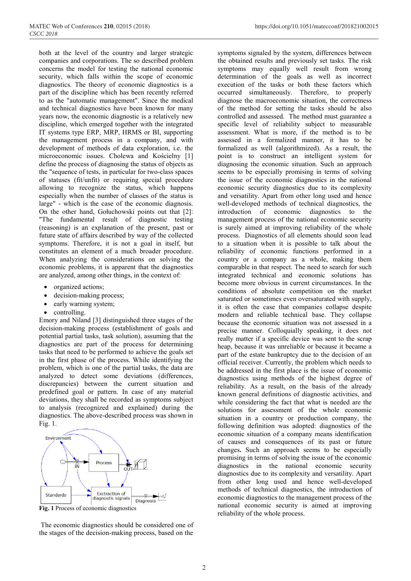both at the level of the country and larger strategic companies and corporations. The so described problem concerns the model for testing the national economic security, which falls within the scope of economic diagnostics. The theory of economic diagnostics is a part of the discipline which has been recently referred to as the "automatic management". Since the medical and technical diagnostics have been known for many years now, the economic diagnostic is a relatively new discipline, which emerged together with the integrated IT systems type ERP, MRP, HRMS or BI, supporting the management process in a company, and with development of methods of data exploration, i.e. the microeconomic issues. Cholewa and Kościelny [1] define the process of diagnosing the status of objects as the "sequence of tests, in particular for two-class spaces of statuses (fit/unfit) or requiring special procedure allowing to recognize the status, which happens especially when the number of classes of the status is large" - which is the case of the economic diagnosis. On the other hand, Gołuchowski points out that [2]: "The fundamental result of diagnostic testing (reasoning) is an explanation of the present, past or future state of affairs described by way of the collected symptoms. Therefore, it is not a goal in itself, but constitutes an element of a much broader procedure. When analyzing the considerations on solving the economic problems, it is apparent that the diagnostics are analyzed, among other things, in the context of:

- organized actions;
- decision-making process;
- early warning system;
- controlling.

Emory and Niland [3] distinguished three stages of the decision-making process (establishment of goals and potential partial tasks, task solution), assuming that the diagnostics are part of the process for determining tasks that need to be performed to achieve the goals set in the first phase of the process. While identifying the problem, which is one of the partial tasks, the data are analyzed to detect some deviations (differences, discrepancies) between the current situation and predefined goal or pattern. In case of any material deviations, they shall be recorded as symptoms subject to analysis (recognized and explained) during the diagnostics. The above-described process was shown in Fig. 1.



**Fig. 1** Process of economic diagnostics

The economic diagnostics should be considered one of the stages of the decision-making process, based on the

symptoms signaled by the system, differences between the obtained results and previously set tasks. The risk symptoms may equally well result from wrong determination of the goals as well as incorrect execution of the tasks or both these factors which occurred simultaneously. Therefore, to properly diagnose the macroeconomic situation, the correctness of the method for setting the tasks should be also controlled and assessed. The method must guarantee a specific level of reliability subject to measurable assessment. What is more, if the method is to be assessed in a formalized manner, it has to be formalized as well (algorithmized). As a result, the point is to construct an intelligent system for diagnosing the economic situation. Such an approach seems to be especially promising in terms of solving the issue of the economic diagnostics in the national economic security diagnostics due to its complexity and versatility. Apart from other long used and hence well-developed methods of technical diagnostics, the introduction of economic diagnostics to the management process of the national economic security is surely aimed at improving reliability of the whole process. Diagnostics of all elements should soon lead to a situation when it is possible to talk about the reliability of economic functions performed in a country or a company as a whole, making them comparable in that respect. The need to search for such integrated technical and economic solutions has become more obvious in current circumstances. In the conditions of absolute competition on the market saturated or sometimes even oversaturated with supply, it is often the case that companies collapse despite modern and reliable technical base. They collapse because the economic situation was not assessed in a precise manner. Colloquially speaking, it does not really matter if a specific device was sent to the scrap heap, because it was unreliable or because it became a part of the estate bankruptcy due to the decision of an official receiver. Currently, the problem which needs to be addressed in the first place is the issue of economic diagnostics using methods of the highest degree of reliability. As a result, on the basis of the already known general definitions of diagnostic activities, and while considering the fact that what is needed are the solutions for assessment of the whole economic situation in a country or production company, the following definition was adopted: diagnostics of the economic situation of a company means identification of causes and consequences of its past or future changes**.** Such an approach seems to be especially promising in terms of solving the issue of the economic diagnostics in the national economic security diagnostics due to its complexity and versatility. Apart from other long used and hence well-developed methods of technical diagnostics, the introduction of economic diagnostics to the management process of the national economic security is aimed at improving reliability of the whole process.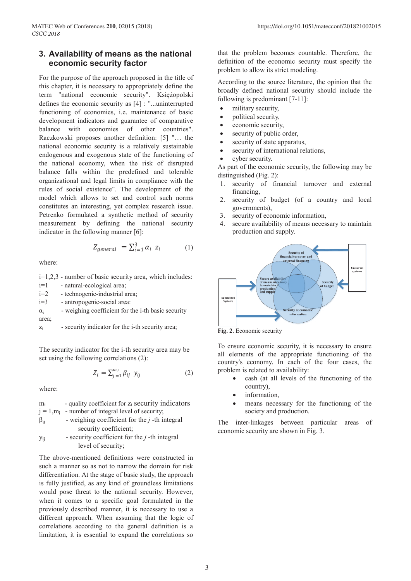# **3. Availability of means as the national economic security factor**

For the purpose of the approach proposed in the title of this chapter, it is necessary to appropriately define the term "national economic security". Księżopolski defines the economic security as [4] : "...uninterrupted functioning of economies, i.e. maintenance of basic development indicators and guarantee of comparative balance with economies of other countries". Raczkowski proposes another definition: [5] "… the national economic security is a relatively sustainable endogenous and exogenous state of the functioning of the national economy, when the risk of disrupted balance falls within the predefined and tolerable organizational and legal limits in compliance with the rules of social existence". The development of the model which allows to set and control such norms constitutes an interesting, yet complex research issue. Petrenko formulated a synthetic method of security measurement by defining the national security indicator in the following manner [6]:

$$
Z_{general} = \sum_{i=1}^{3} \alpha_i \ z_i \tag{1}
$$

where:

i=1,2,3 - number of basic security area, which includes:

| $i=1$      | - natural-ecological area;                               |
|------------|----------------------------------------------------------|
| $i=2$      | - technogenic-industrial area;                           |
| $i=3$      | - antropogenic-social area:                              |
| $\alpha_i$ | - weighing coefficient for the i-th basic security       |
| area;      |                                                          |
| $Z_i$      | - security indicator for the <i>i</i> -th security area; |

The security indicator for the i-th security area may be set using the following correlations (2):

$$
Z_i = \sum_{j=1}^{m_i} \beta_{ij} \ y_{ij} \tag{2}
$$

where:

 $m_i$  - quality coefficient for  $z_i$  security indicators  $j = 1, m<sub>i</sub>$  - number of integral level of security;  $\beta_{ij}$  - weighing coefficient for the *j*-th integral security coefficient; yij - security coefficient for the *j* -th integral level of security;

The above-mentioned definitions were constructed in such a manner so as not to narrow the domain for risk differentiation. At the stage of basic study, the approach is fully justified, as any kind of groundless limitations would pose threat to the national security. However, when it comes to a specific goal formulated in the previously described manner, it is necessary to use a different approach. When assuming that the logic of correlations according to the general definition is a limitation, it is essential to expand the correlations so

that the problem becomes countable. Therefore, the definition of the economic security must specify the problem to allow its strict modeling.

According to the source literature, the opinion that the broadly defined national security should include the following is predominant [7-11]:

- military security,
- political security,
- economic security,
- security of public order,
- security of state apparatus,
- security of international relations,
- cyber security.

As part of the economic security, the following may be distinguished (Fig. 2):

- 1. security of financial turnover and external financing,
- 2. security of budget (of a country and local governments),
- 3. security of economic information,
- 4. secure availability of means necessary to maintain production and supply.



**Fig. 2**. Economic security

To ensure economic security, it is necessary to ensure all elements of the appropriate functioning of the country's economy. In each of the four cases, the problem is related to availability:

- cash (at all levels of the functioning of the country),
- information,
- means necessary for the functioning of the society and production.

The inter-linkages between particular areas of economic security are shown in Fig. 3.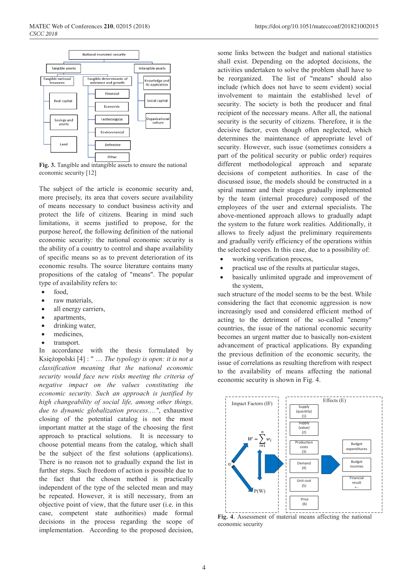

**Fig. 3.** Tangible and intangible assets to ensure the national economic security [12]

The subject of the article is economic security and, more precisely, its area that covers secure availability of means necessary to conduct business activity and protect the life of citizens. Bearing in mind such limitations, it seems justified to propose, for the purpose hereof, the following definition of the national economic security: the national economic security is the ability of a country to control and shape availability of specific means so as to prevent deterioration of its economic results. The source literature contains many propositions of the catalog of "means". The popular type of availability refers to:

- food.
- raw materials.
- all energy carriers,
- apartments,
- drinking water,
- medicines,
- transport.

In accordance with the thesis formulated by Księżopolski [4] : " … *The typology is open: it is not a classification meaning that the national economic security would face new risks meeting the criteria of negative impact on the values constituting the economic security. Such an approach is justified by high changeability of social life, among other things, due to dynamic globalization process…."*, exhaustive closing of the potential catalog is not the most important matter at the stage of the choosing the first approach to practical solutions. It is necessary to choose potential means from the catalog, which shall be the subject of the first solutions (applications). There is no reason not to gradually expand the list in further steps. Such freedom of action is possible due to the fact that the chosen method is practically independent of the type of the selected mean and may be repeated. However, it is still necessary, from an objective point of view, that the future user (i.e. in this case, competent state authorities) made formal decisions in the process regarding the scope of implementation. According to the proposed decision,

some links between the budget and national statistics shall exist. Depending on the adopted decisions, the activities undertaken to solve the problem shall have to be reorganized. The list of "means" should also include (which does not have to seem evident) social involvement to maintain the established level of security. The society is both the producer and final recipient of the necessary means. After all, the national security is the security of citizens. Therefore, it is the decisive factor, even though often neglected, which determines the maintenance of appropriate level of security. However, such issue (sometimes considers a part of the political security or public order) requires different methodological approach and separate decisions of competent authorities. In case of the discussed issue, the models should be constructed in a spiral manner and their stages gradually implemented by the team (internal procedure) composed of the employees of the user and external specialists. The above-mentioned approach allows to gradually adapt the system to the future work realities. Additionally, it allows to freely adjust the preliminary requirements and gradually verify efficiency of the operations within the selected scopes. In this case, due to a possibility of:

- working verification process,
- practical use of the results at particular stages,
- basically unlimited upgrade and improvement of the system,

such structure of the model seems to be the best. While considering the fact that economic aggression is now increasingly used and considered efficient method of acting to the detriment of the so-called "enemy" countries, the issue of the national economic security becomes an urgent matter due to basically non-existent advancement of practical applications. By expanding the previous definition of the economic security, the issue of correlations as resulting therefrom with respect to the availability of means affecting the national economic security is shown in Fig. 4.



**Fig. 4**. Assessment of material means affecting the national economic security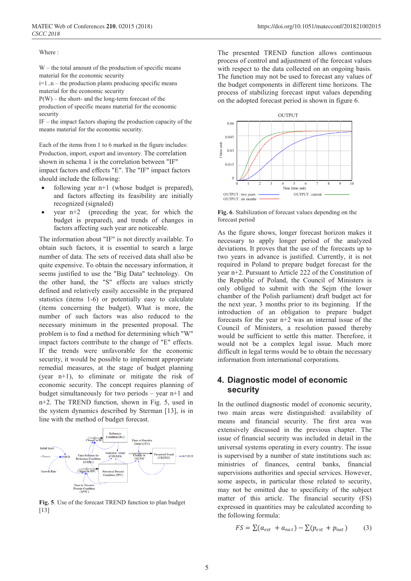Where :

W – the total amount of the production of specific means material for the economic security

i=1..n – the production plants producing specific means material for the economic security

P(W) – the short- and the long-term forecast of the production of specific means material for the economic security

IF – the impact factors shaping the production capacity of the means material for the economic security.

Each of the items from 1 to 6 marked in the figure includes: Production, import, export and inventory. The correlation shown in schema 1 is the correlation between "IF" impact factors and effects "E". The "IF" impact factors should include the following:

- following year  $n+1$  (whose budget is prepared). and factors affecting its feasibility are initially recognized (signaled)
- year  $n+2$  (preceding the year, for which the budget is prepared), and trends of changes in factors affecting such year are noticeable.

The information about "IF" is not directly available. To obtain such factors, it is essential to search a large number of data. The sets of received data shall also be quite expensive. To obtain the necessary information, it seems justified to use the "Big Data" technology. On the other hand, the "S" effects are values strictly defined and relatively easily accessible in the prepared statistics (items 1-6) or potentially easy to calculate (items concerning the budget). What is more, the number of such factors was also reduced to the necessary minimum in the presented proposal. The problem is to find a method for determining which "W" impact factors contribute to the change of "E" effects. If the trends were unfavorable for the economic security, it would be possible to implement appropriate remedial measures, at the stage of budget planning (year n+1), to eliminate or mitigate the risk of economic security. The concept requires planning of budget simultaneously for two periods – year n+1 and n+2. The TREND function, shown in Fig. 5, used in the system dynamics described by Sterman [13], is in line with the method of budget forecast.



**Fig. 5**. Use of the forecast TREND function to plan budget [13]

The presented TREND function allows continuous process of control and adjustment of the forecast values with respect to the data collected on an ongoing basis. The function may not be used to forecast any values of the budget components in different time horizons. The process of stabilizing forecast input values depending on the adopted forecast period is shown in figure 6.



**Fig. 6**. Stabilization of forecast values depending on the forecast period

As the figure shows, longer forecast horizon makes it necessary to apply longer period of the analyzed deviations. It proves that the use of the forecasts up to two years in advance is justified. Currently, it is not required in Poland to prepare budget forecast for the year n+2. Pursuant to Article 222 of the Constitution of the Republic of Poland, the Council of Ministers is only obliged to submit with the Sejm (the lower chamber of the Polish parliament) draft budget act for the next year, 3 months prior to its beginning. If the introduction of an obligation to prepare budget forecasts for the year n+2 was an internal issue of the Council of Ministers, a resolution passed thereby would be sufficient to settle this matter. Therefore, it would not be a complex legal issue. Much more difficult in legal terms would be to obtain the necessary information from international corporations.

# **4. Diagnostic model of economic security**

In the outlined diagnostic model of economic security, two main areas were distinguished: availability of means and financial security. The first area was extensively discussed in the previous chapter. The issue of financial security was included in detail in the universal systems operating in every country. The issue is supervised by a number of state institutions such as: ministries of finances, central banks, financial supervisions authorities and special services. However, some aspects, in particular those related to security, may not be omitted due to specificity of the subject matter of this article. The financial security (FS) expressed in quantities may be calculated according to the following formula:

$$
FS = \sum (a_{ext} + a_{nat}) - \sum (p_{ext} + p_{nat})
$$
 (3)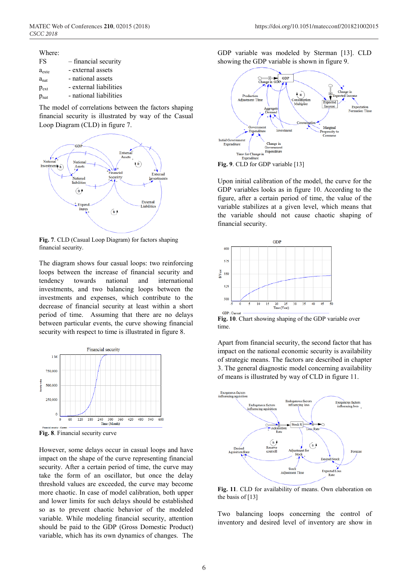Where: FS – financial security a<sub>exte</sub> - external assets  $a<sub>nat</sub>$  - national assets  $p_{ext}$  - external liabilities  $p_{\text{nat}}$  - national liabilities

The model of correlations between the factors shaping financial security is illustrated by way of the Casual Loop Diagram (CLD) in figure 7.



**Fig. 7**. CLD (Casual Loop Diagram) for factors shaping financial security.

The diagram shows four casual loops: two reinforcing loops between the increase of financial security and tendency towards national and international investments, and two balancing loops between the investments and expenses, which contribute to the decrease of financial security at least within a short period of time. Assuming that there are no delays between particular events, the curve showing financial security with respect to time is illustrated in figure 8.



**Fig. 8**. Financial security curve

However, some delays occur in casual loops and have impact on the shape of the curve representing financial security. After a certain period of time, the curve may take the form of an oscillator, but once the delay threshold values are exceeded, the curve may become more chaotic. In case of model calibration, both upper and lower limits for such delays should be established so as to prevent chaotic behavior of the modeled variable. While modeling financial security, attention should be paid to the GDP (Gross Domestic Product) variable, which has its own dynamics of changes. The

GDP variable was modeled by Sterman [13]. CLD showing the GDP variable is shown in figure 9.



Upon initial calibration of the model, the curve for the GDP variables looks as in figure 10. According to the figure, after a certain period of time, the value of the variable stabilizes at a given level, which means that the variable should not cause chaotic shaping of financial security.



**Fig. 10**. Chart showing shaping of the GDP variable over time.

Apart from financial security, the second factor that has impact on the national economic security is availability of strategic means. The factors are described in chapter 3. The general diagnostic model concerning availability of means is illustrated by way of CLD in figure 11.



**Fig. 11**. CLD for availability of means. Own elaboration on the basis of [13]

Two balancing loops concerning the control of inventory and desired level of inventory are show in